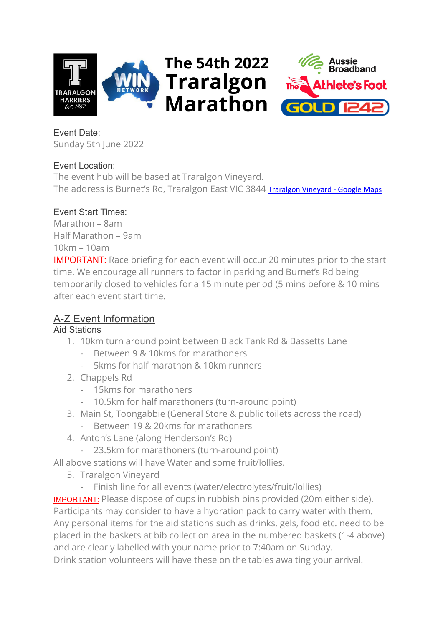



Event Date: Sunday 5th June 2022

# Event Location:

The event hub will be based at Traralgon Vineyard. The address is Burnet's Rd, Traralgon East VIC 3844 [Traralgon Vineyard -](https://www.google.com.au/maps/place/Traralgon+Vineyard/@-38.1697759,146.5769929,17z/data=!3m1!4b1!4m5!3m4!1s0x6b2922646e7191b7:0xf5a30bfb7fd2f836!8m2!3d-38.1696954!4d146.579182) Google Maps

# Event Start Times:

Marathon – 8am Half Marathon – 9am 10km – 10am

IMPORTANT: Race briefing for each event will occur 20 minutes prior to the start time. We encourage all runners to factor in parking and Burnet's Rd being temporarily closed to vehicles for a 15 minute period (5 mins before & 10 mins after each event start time.

# A-Z Event Information

# Aid Stations

- 1. 10km turn around point between Black Tank Rd & Bassetts Lane
	- Between 9 & 10kms for marathoners
	- 5kms for half marathon & 10km runners
- 2. Chappels Rd
	- 15kms for marathoners
	- 10.5km for half marathoners (turn-around point)
- 3. Main St, Toongabbie (General Store & public toilets across the road)
	- Between 19 & 20kms for marathoners
- 4. Anton's Lane (along Henderson's Rd)
	- 23.5km for marathoners (turn-around point)

All above stations will have Water and some fruit/lollies.

- 5. Traralgon Vineyard
	- Finish line for all events (water/electrolytes/fruit/lollies)

IMPORTANT: Please dispose of cups in rubbish bins provided (20m either side). Participants may consider to have a hydration pack to carry water with them. Any personal items for the aid stations such as drinks, gels, food etc. need to be placed in the baskets at bib collection area in the numbered baskets (1-4 above) and are clearly labelled with your name prior to 7:40am on Sunday. Drink station volunteers will have these on the tables awaiting your arrival.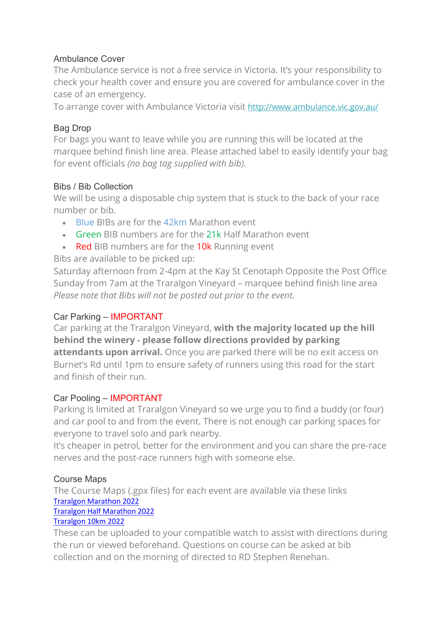### Ambulance Cover

The Ambulance service is not a free service in Victoria. It's your responsibility to check your health cover and ensure you are covered for ambulance cover in the case of an emergency.

To arrange cover with Ambulance Victoria visit <http://www.ambulance.vic.gov.au/>

# Bag Drop

For bags you want to leave while you are running this will be located at the marquee behind finish line area. Please attached label to easily identify your bag for event officials *(no bag tag supplied with bib).*

#### Bibs / Bib Collection

We will be using a disposable chip system that is stuck to the back of your race number or bib.

- Blue BIBs are for the 42km Marathon event
- Green BIB numbers are for the 21k Half Marathon event
- Red BIB numbers are for the 10k Running event

# Bibs are available to be picked up:

Saturday afternoon from 2-4pm at the Kay St Cenotaph Opposite the Post Office Sunday from 7am at the Traralgon Vineyard – marquee behind finish line area *Please note that Bibs will not be posted out prior to the event.*

#### Car Parking – IMPORTANT

Car parking at the Traralgon Vineyard, **with the majority located up the hill behind the winery - please follow directions provided by parking attendants upon arrival.** Once you are parked there will be no exit access on Burnet's Rd until 1pm to ensure safety of runners using this road for the start and finish of their run.

#### Car Pooling – IMPORTANT

Parking is limited at Traralgon Vineyard so we urge you to find a buddy (or four) and car pool to and from the event. There is not enough car parking spaces for everyone to travel solo and park nearby.

It's cheaper in petrol, better for the environment and you can share the pre-race nerves and the post-race runners high with someone else.

#### Course Maps

The Course Maps (.gpx files) for each event are available via these links [Traralgon Marathon 2022](https://connect.garmin.com/modern/course/105976309)

# [Traralgon Half Marathon 2022](https://connect.garmin.com/modern/course/105975125)

# [Traralgon 10km 2022](https://connect.garmin.com/modern/course/105975442)

These can be uploaded to your compatible watch to assist with directions during the run or viewed beforehand. Questions on course can be asked at bib collection and on the morning of directed to RD Stephen Renehan.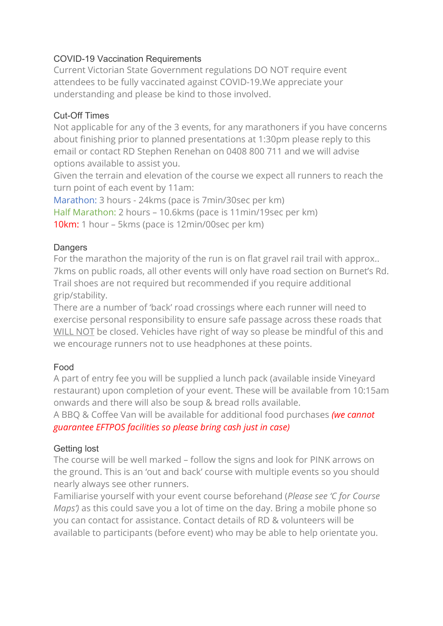# COVID-19 Vaccination Requirements

Current Victorian State Government regulations DO NOT require event attendees to be fully vaccinated against COVID-19.We appreciate your understanding and please be kind to those involved.

# Cut-Off Times

Not applicable for any of the 3 events, for any marathoners if you have concerns about finishing prior to planned presentations at 1:30pm please reply to this email or contact RD Stephen Renehan on 0408 800 711 and we will advise options available to assist you.

Given the terrain and elevation of the course we expect all runners to reach the turn point of each event by 11am:

Marathon: 3 hours - 24kms (pace is 7min/30sec per km) Half Marathon: 2 hours – 10.6kms (pace is 11min/19sec per km) 10km: 1 hour – 5kms (pace is 12min/00sec per km)

#### **Dangers**

For the marathon the majority of the run is on flat gravel rail trail with approx.. 7kms on public roads, all other events will only have road section on Burnet's Rd. Trail shoes are not required but recommended if you require additional grip/stability.

There are a number of 'back' road crossings where each runner will need to exercise personal responsibility to ensure safe passage across these roads that WILL NOT be closed. Vehicles have right of way so please be mindful of this and we encourage runners not to use headphones at these points.

# Food

A part of entry fee you will be supplied a lunch pack (available inside Vineyard restaurant) upon completion of your event. These will be available from 10:15am onwards and there will also be soup & bread rolls available.

A BBQ & Coffee Van will be available for additional food purchases *(we cannot guarantee EFTPOS facilities so please bring cash just in case)* 

#### Getting lost

The course will be well marked – follow the signs and look for PINK arrows on the ground. This is an 'out and back' course with multiple events so you should nearly always see other runners.

Familiarise yourself with your event course beforehand (*Please see 'C for Course Maps')* as this could save you a lot of time on the day. Bring a mobile phone so you can contact for assistance. Contact details of RD & volunteers will be available to participants (before event) who may be able to help orientate you.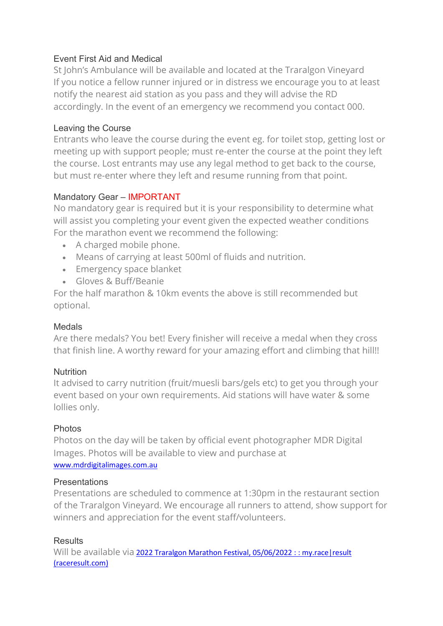# Event First Aid and Medical

St John's Ambulance will be available and located at the Traralgon Vineyard If you notice a fellow runner injured or in distress we encourage you to at least notify the nearest aid station as you pass and they will advise the RD accordingly. In the event of an emergency we recommend you contact 000.

#### Leaving the Course

Entrants who leave the course during the event eg. for toilet stop, getting lost or meeting up with support people; must re-enter the course at the point they left the course. Lost entrants may use any legal method to get back to the course, but must re-enter where they left and resume running from that point.

#### Mandatory Gear – IMPORTANT

No mandatory gear is required but it is your responsibility to determine what will assist you completing your event given the expected weather conditions For the marathon event we recommend the following:

- A charged mobile phone.
- Means of carrying at least 500ml of fluids and nutrition.
- Emergency space blanket
- Gloves & Buff/Beanie

For the half marathon & 10km events the above is still recommended but optional.

#### Medals

Are there medals? You bet! Every finisher will receive a medal when they cross that finish line. A worthy reward for your amazing effort and climbing that hill!!

#### Nutrition

It advised to carry nutrition (fruit/muesli bars/gels etc) to get you through your event based on your own requirements. Aid stations will have water & some lollies only.

#### Photos

Photos on the day will be taken by official event photographer MDR Digital Images. Photos will be available to view and purchase at [www.mdrdigitalimages.com.au](http://www.mdrdigitalimages.com.au/)

#### **Presentations**

Presentations are scheduled to commence at 1:30pm in the restaurant section of the Traralgon Vineyard. We encourage all runners to attend, show support for winners and appreciation for the event staff/volunteers.

#### **Results**

Will be available via 2022 Traralgon Marathon Festival, 05/06/2022 : : my.race | result [\(raceresult.com\)](https://my.raceresult.com/196728/results)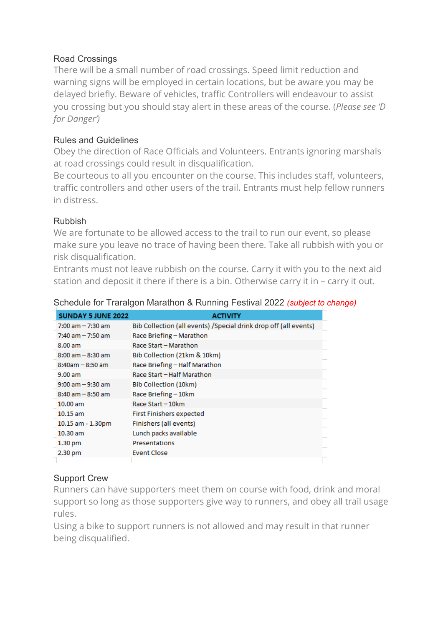# Road Crossings

There will be a small number of road crossings. Speed limit reduction and warning signs will be employed in certain locations, but be aware you may be delayed briefly. Beware of vehicles, traffic Controllers will endeavour to assist you crossing but you should stay alert in these areas of the course. (*Please see 'D for Danger')*

# Rules and Guidelines

Obey the direction of Race Officials and Volunteers. Entrants ignoring marshals at road crossings could result in disqualification.

Be courteous to all you encounter on the course. This includes staff, volunteers, traffic controllers and other users of the trail. Entrants must help fellow runners in distress.

#### Rubbish

We are fortunate to be allowed access to the trail to run our event, so please make sure you leave no trace of having been there. Take all rubbish with you or risk disqualification.

Entrants must not leave rubbish on the course. Carry it with you to the next aid station and deposit it there if there is a bin. Otherwise carry it in – carry it out.

| <b>SUNDAY 5 JUNE 2022</b> | <b>ACTIVITY</b>                                                   |  |
|---------------------------|-------------------------------------------------------------------|--|
| $7:00$ am $-7:30$ am      | Bib Collection (all events) / Special drink drop off (all events) |  |
| $7:40$ am $-7:50$ am      | Race Briefing - Marathon                                          |  |
| 8.00 am                   | Race Start - Marathon                                             |  |
| $8:00$ am $-8:30$ am      | Bib Collection (21km & 10km)                                      |  |
| $8:40$ am $-8:50$ am      | Race Briefing - Half Marathon                                     |  |
| 9.00 am                   | Race Start - Half Marathon                                        |  |
| $9:00$ am $-9:30$ am      | Bib Collection (10km)                                             |  |
| $8:40$ am $-8:50$ am      | Race Briefing-10km                                                |  |
| $10.00$ am                | Race Start - 10km                                                 |  |
| $10.15$ am                | <b>First Finishers expected</b>                                   |  |
| 10.15 am - 1.30pm         | Finishers (all events)                                            |  |
| 10.30 am                  | Lunch packs available                                             |  |
| 1.30 <sub>pm</sub>        | Presentations                                                     |  |
| 2.30 pm                   | <b>Event Close</b>                                                |  |
|                           |                                                                   |  |

Schedule for Traralgon Marathon & Running Festival 2022 *(subject to change)*

# Support Crew

Runners can have supporters meet them on course with food, drink and moral support so long as those supporters give way to runners, and obey all trail usage rules.

Using a bike to support runners is not allowed and may result in that runner being disqualified.